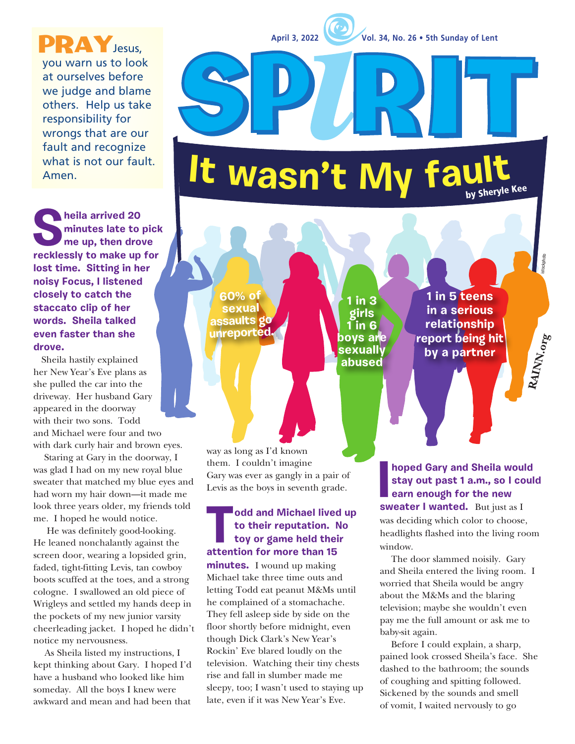**April 3, 2022 Vol. 34, No. 26 • 5th Sunday of Lent**

**1 in 3 girls 1 in 6 boys are sexually abused**

PRAY Jesus, you warn us to look at ourselves before we judge and blame others. Help us take responsibility for wrongs that are our fault and recognize what is not our fault. Amen. **<sup>I</sup><sup>t</sup> <sup>w</sup>asn'<sup>t</sup> <sup>M</sup><sup>y</sup> <sup>f</sup>aul<sup>t</sup>** by Sheryle Kee

**heila arrived 20 minutes late to pick me up, then drove recklessly to make up for lost time. Sitting in her noisy Focus, I listened closely to catch the staccato clip of her words. Sheila talked even faster than she drove.**

 Sheila hastily explained her New Year's Eve plans as she pulled the car into the driveway. Her husband Gary appeared in the doorway with their two sons. Todd and Michael were four and two with dark curly hair and brown eyes.

 Staring at Gary in the doorway, I was glad I had on my new royal blue sweater that matched my blue eyes and had worn my hair down—it made me look three years older, my friends told me. I hoped he would notice.

 He was definitely good-looking. He leaned nonchalantly against the screen door, wearing a lopsided grin, faded, tight-fitting Levis, tan cowboy boots scuffed at the toes, and a strong cologne. I swallowed an old piece of Wrigleys and settled my hands deep in the pockets of my new junior varsity cheerleading jacket. I hoped he didn't notice my nervousness.

As Sheila listed my instructions, I kept thinking about Gary. I hoped I'd have a husband who looked like him someday. All the boys I knew were awkward and mean and had been that

way as long as I'd known them. I couldn't imagine Gary was ever as gangly in a pair of Levis as the boys in seventh grade.

**60% of sexual assaults go unreported.**

#### **Todd and Michael lived up to their reputation. No toy or game held their attention for more than 15**

**minutes.** I wound up making Michael take three time outs and letting Todd eat peanut M&Ms until he complained of a stomachache. They fell asleep side by side on the floor shortly before midnight, even though Dick Clark's New Year's Rockin' Eve blared loudly on the television. Watching their tiny chests rise and fall in slumber made me sleepy, too; I wasn't used to staying up late, even if it was New Year's Eve.

**II** hoped Gary and Sheila woul<br>
stay out past 1 a.m., so I co<br>
earn enough for the new<br>
sweater I wanted. But just as I **hoped Gary and Sheila would stay out past 1 a.m., so I could earn enough for the new**  was deciding which color to choose, headlights flashed into the living room window.

**1 in 5 teens in a serious relationship report being hit by a partner**

**RAINN.org**

istockphoto

The door slammed noisily. Gary and Sheila entered the living room. I worried that Sheila would be angry about the M&Ms and the blaring television; maybe she wouldn't even pay me the full amount or ask me to baby-sit again.

Before I could explain, a sharp, pained look crossed Sheila's face. She dashed to the bathroom; the sounds of coughing and spitting followed. Sickened by the sounds and smell of vomit, I waited nervously to go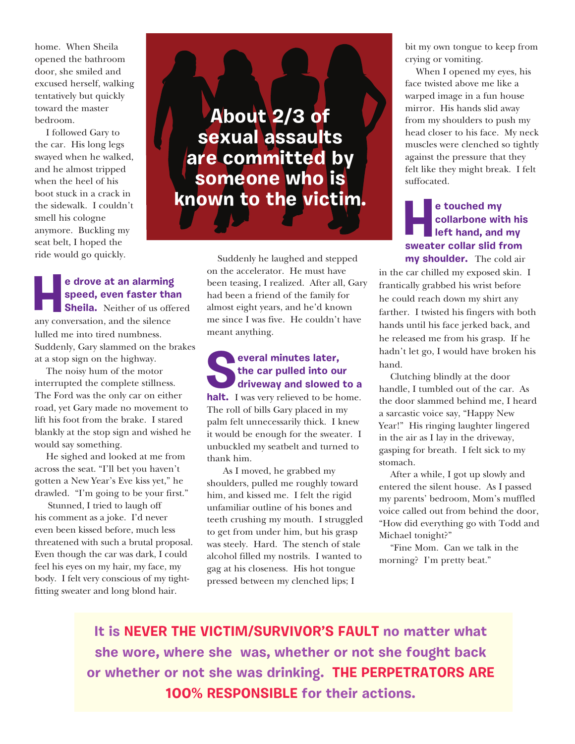home. When Sheila opened the bathroom door, she smiled and excused herself, walking tentatively but quickly toward the master bedroom.

I followed Gary to the car. His long legs swayed when he walked, and he almost tripped when the heel of his boot stuck in a crack in the sidewalk. I couldn't smell his cologne anymore. Buckling my seat belt, I hoped the ride would go quickly.

## **He drove at an alarming<br>
speed, even faster that<br>
Sheila.** Neither of us offer<br>
any conversation and the silence **speed, even faster than**

**Sheila.** Neither of us offered any conversation, and the silence lulled me into tired numbness. Suddenly, Gary slammed on the brakes at a stop sign on the highway.

The noisy hum of the motor interrupted the complete stillness. The Ford was the only car on either road, yet Gary made no movement to lift his foot from the brake. I stared blankly at the stop sign and wished he would say something.

He sighed and looked at me from across the seat. "I'll bet you haven't gotten a New Year's Eve kiss yet," he drawled. "I'm going to be your first."

Stunned, I tried to laugh off his comment as a joke. I'd never even been kissed before, much less threatened with such a brutal proposal. Even though the car was dark, I could feel his eyes on my hair, my face, my body. I felt very conscious of my tightfitting sweater and long blond hair.



 Suddenly he laughed and stepped on the accelerator. He must have been teasing, I realized. After all, Gary had been a friend of the family for almost eight years, and he'd known me since I was five. He couldn't have meant anything.

#### **Several minutes later, the car pulled into our driveway and slowed to a**

halt. I was very relieved to be home. The roll of bills Gary placed in my palm felt unnecessarily thick. I knew it would be enough for the sweater. I unbuckled my seatbelt and turned to thank him.

 As I moved, he grabbed my shoulders, pulled me roughly toward him, and kissed me. I felt the rigid unfamiliar outline of his bones and teeth crushing my mouth. I struggled to get from under him, but his grasp was steely. Hard. The stench of stale alcohol filled my nostrils. I wanted to gag at his closeness. His hot tongue pressed between my clenched lips; I

bit my own tongue to keep from crying or vomiting.

 When I opened my eyes, his face twisted above me like a warped image in a fun house mirror. His hands slid away from my shoulders to push my head closer to his face. My neck muscles were clenched so tightly against the pressure that they felt like they might break. I felt suffocated.

### **He touched my<br>
collarbone with<br>
left hand, and<br>
sweater collar slid fi collarbone with his left hand, and my sweater collar slid from my shoulder.** The cold air

in the car chilled my exposed skin. I frantically grabbed his wrist before he could reach down my shirt any farther. I twisted his fingers with both hands until his face jerked back, and he released me from his grasp. If he hadn't let go, I would have broken his hand.

Clutching blindly at the door handle, I tumbled out of the car. As the door slammed behind me, I heard a sarcastic voice say, "Happy New Year!" His ringing laughter lingered in the air as I lay in the driveway, gasping for breath. I felt sick to my stomach.

After a while, I got up slowly and entered the silent house. As I passed my parents' bedroom, Mom's muffled voice called out from behind the door, "How did everything go with Todd and Michael tonight?"

"Fine Mom. Can we talk in the morning? I'm pretty beat."

**It is NEVER THE VICTIM/SURVIVOR'S FAULT no matter what she wore, where she was, whether or not she fought back or whether or not she was drinking. THE PERPETRATORS ARE 100% RESPONSIBLE for their actions.**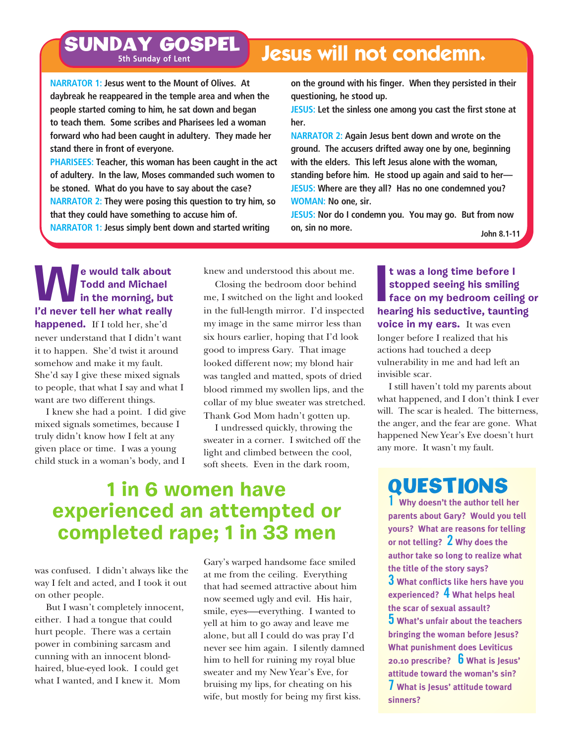## **SUNDAY GOSPEL Jesus will not condemn. 5th Sunday of Lent**

**NARRATOR 1: Jesus went to the Mount of Olives. At daybreak he reappeared in the temple area and when the people started coming to him, he sat down and began to teach them. Some scribes and Pharisees led a woman forward who had been caught in adultery. They made her stand there in front of everyone.**

**PHARISEES: Teacher, this woman has been caught in the act of adultery. In the law, Moses commanded such women to be stoned. What do you have to say about the case? NARRATOR 2: They were posing this question to try him, so that they could have something to accuse him of. NARRATOR 1: Jesus simply bent down and started writing** 

**on the ground with his finger. When they persisted in their questioning, he stood up.**

**JESUS: Let the sinless one among you cast the first stone at her.**

**NARRATOR 2: Again Jesus bent down and wrote on the ground. The accusers drifted away one by one, beginning with the elders. This left Jesus alone with the woman, standing before him. He stood up again and said to her— JESUS: Where are they all? Has no one condemned you? WOMAN: No one, sir.**

**JESUS: Nor do I condemn you. You may go. But from now on, sin no more. John 8.1-11**

**We would talk about Todd and Michael in the morning, but I'd never tell her what really happened.** If I told her, she'd never understand that I didn't want it to happen. She'd twist it around somehow and make it my fault. She'd say I give these mixed signals to people, that what I say and what I want are two different things.

I knew she had a point. I did give mixed signals sometimes, because I truly didn't know how I felt at any given place or time. I was a young child stuck in a woman's body, and I

knew and understood this about me.

Closing the bedroom door behind me, I switched on the light and looked in the full-length mirror. I'd inspected my image in the same mirror less than six hours earlier, hoping that I'd look good to impress Gary. That image looked different now; my blond hair was tangled and matted, spots of dried blood rimmed my swollen lips, and the collar of my blue sweater was stretched. Thank God Mom hadn't gotten up.

I undressed quickly, throwing the sweater in a corner. I switched off the light and climbed between the cool, soft sheets. Even in the dark room,

## **1 in 6 women have experienced an attempted or completed rape; 1 in 33 men**

was confused. I didn't always like the way I felt and acted, and I took it out on other people.

But I wasn't completely innocent, either. I had a tongue that could hurt people. There was a certain power in combining sarcasm and cunning with an innocent blondhaired, blue-eyed look. I could get what I wanted, and I knew it. Mom

Gary's warped handsome face smiled at me from the ceiling. Everything that had seemed attractive about him now seemed ugly and evil. His hair, smile, eyes—everything. I wanted to yell at him to go away and leave me alone, but all I could do was pray I'd never see him again. I silently damned him to hell for ruining my royal blue sweater and my New Year's Eve, for bruising my lips, for cheating on his wife, but mostly for being my first kiss.

**I hearing the set of the stopped seeing his smiling<br>
<b>I hearing his seductive, taunting his seductive, taunting t was a long time before I stopped seeing his smiling face on my bedroom ceiling or voice in my ears.** It was even longer before I realized that his actions had touched a deep vulnerability in me and had left an invisible scar.

I still haven't told my parents about what happened, and I don't think I ever will. The scar is healed. The bitterness, the anger, and the fear are gone. What happened New Year's Eve doesn't hurt any more. It wasn't my fault.

## QUESTIONS

**1 Why doesn't the author tell her parents about Gary? Would you tell yours? What are reasons for telling or not telling? 2 Why does the author take so long to realize what the title of the story says? 3 What conflicts like hers have you experienced? 4 What helps heal the scar of sexual assault? 5 What's unfair about the teachers bringing the woman before Jesus? What punishment does Leviticus 20.10 prescribe? 6 What is Jesus' attitude toward the woman's sin? 7 What is Jesus' attitude toward sinners?**